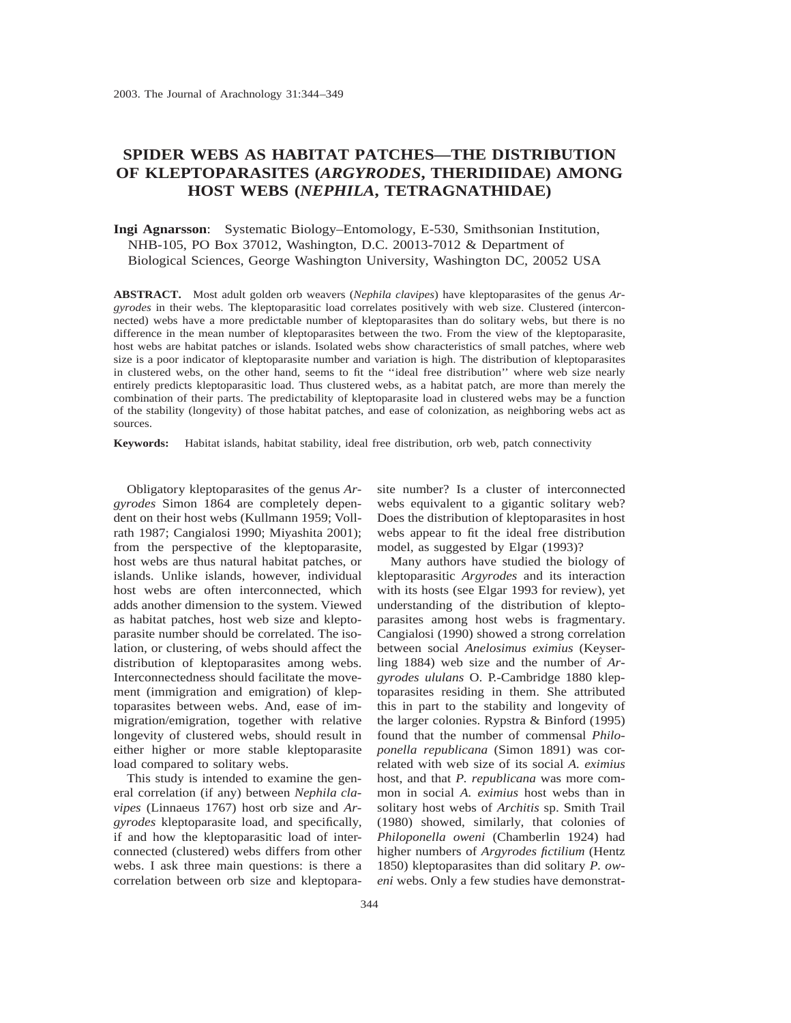# **SPIDER WEBS AS HABITAT PATCHES—THE DISTRIBUTION OF KLEPTOPARASITES (***ARGYRODES***, THERIDIIDAE) AMONG HOST WEBS (***NEPHILA***, TETRAGNATHIDAE)**

# **Ingi Agnarsson**: Systematic Biology–Entomology, E-530, Smithsonian Institution, NHB-105, PO Box 37012, Washington, D.C. 20013-7012 & Department of Biological Sciences, George Washington University, Washington DC, 20052 USA

**ABSTRACT.** Most adult golden orb weavers (*Nephila clavipes*) have kleptoparasites of the genus *Argyrodes* in their webs. The kleptoparasitic load correlates positively with web size. Clustered (interconnected) webs have a more predictable number of kleptoparasites than do solitary webs, but there is no difference in the mean number of kleptoparasites between the two. From the view of the kleptoparasite, host webs are habitat patches or islands. Isolated webs show characteristics of small patches, where web size is a poor indicator of kleptoparasite number and variation is high. The distribution of kleptoparasites in clustered webs, on the other hand, seems to fit the ''ideal free distribution'' where web size nearly entirely predicts kleptoparasitic load. Thus clustered webs, as a habitat patch, are more than merely the combination of their parts. The predictability of kleptoparasite load in clustered webs may be a function of the stability (longevity) of those habitat patches, and ease of colonization, as neighboring webs act as sources.

**Keywords:** Habitat islands, habitat stability, ideal free distribution, orb web, patch connectivity

Obligatory kleptoparasites of the genus *Argyrodes* Simon 1864 are completely dependent on their host webs (Kullmann 1959; Vollrath 1987; Cangialosi 1990; Miyashita 2001); from the perspective of the kleptoparasite, host webs are thus natural habitat patches, or islands. Unlike islands, however, individual host webs are often interconnected, which adds another dimension to the system. Viewed as habitat patches, host web size and kleptoparasite number should be correlated. The isolation, or clustering, of webs should affect the distribution of kleptoparasites among webs. Interconnectedness should facilitate the movement (immigration and emigration) of kleptoparasites between webs. And, ease of immigration/emigration, together with relative longevity of clustered webs, should result in either higher or more stable kleptoparasite load compared to solitary webs.

This study is intended to examine the general correlation (if any) between *Nephila clavipes* (Linnaeus 1767) host orb size and *Argyrodes* kleptoparasite load, and specifically, if and how the kleptoparasitic load of interconnected (clustered) webs differs from other webs. I ask three main questions: is there a correlation between orb size and kleptoparasite number? Is a cluster of interconnected webs equivalent to a gigantic solitary web? Does the distribution of kleptoparasites in host webs appear to fit the ideal free distribution model, as suggested by Elgar (1993)?

Many authors have studied the biology of kleptoparasitic *Argyrodes* and its interaction with its hosts (see Elgar 1993 for review), yet understanding of the distribution of kleptoparasites among host webs is fragmentary. Cangialosi (1990) showed a strong correlation between social *Anelosimus eximius* (Keyserling 1884) web size and the number of *Argyrodes ululans* O. P.-Cambridge 1880 kleptoparasites residing in them. She attributed this in part to the stability and longevity of the larger colonies. Rypstra & Binford (1995) found that the number of commensal *Philoponella republicana* (Simon 1891) was correlated with web size of its social *A. eximius* host, and that *P. republicana* was more common in social *A. eximius* host webs than in solitary host webs of *Architis* sp. Smith Trail (1980) showed, similarly, that colonies of *Philoponella oweni* (Chamberlin 1924) had higher numbers of *Argyrodes fictilium* (Hentz 1850) kleptoparasites than did solitary *P. oweni* webs. Only a few studies have demonstrat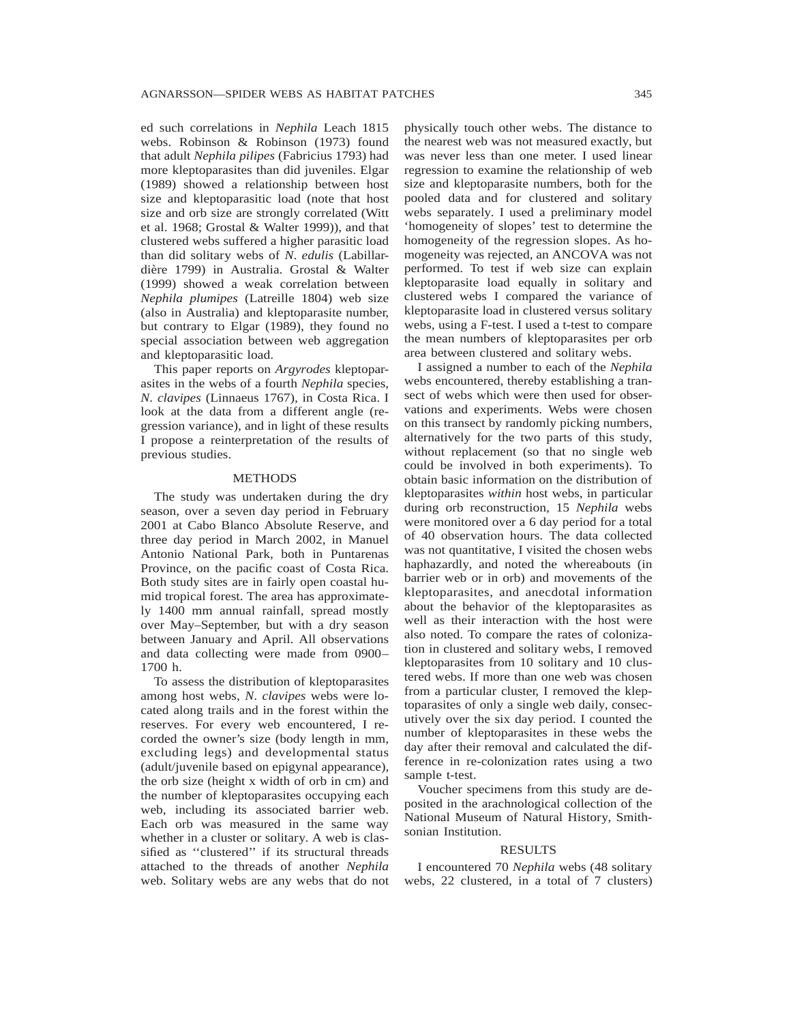ed such correlations in *Nephila* Leach 1815 webs. Robinson & Robinson (1973) found that adult *Nephila pilipes* (Fabricius 1793) had more kleptoparasites than did juveniles. Elgar (1989) showed a relationship between host size and kleptoparasitic load (note that host size and orb size are strongly correlated (Witt et al. 1968; Grostal & Walter 1999)), and that clustered webs suffered a higher parasitic load than did solitary webs of *N*. *edulis* (Labillardière 1799) in Australia. Grostal & Walter (1999) showed a weak correlation between *Nephila plumipes* (Latreille 1804) web size (also in Australia) and kleptoparasite number, but contrary to Elgar (1989), they found no special association between web aggregation and kleptoparasitic load.

This paper reports on *Argyrodes* kleptoparasites in the webs of a fourth *Nephila* species, *N*. *clavipes* (Linnaeus 1767)*,* in Costa Rica. I look at the data from a different angle (regression variance), and in light of these results I propose a reinterpretation of the results of previous studies.

#### **METHODS**

The study was undertaken during the dry season, over a seven day period in February 2001 at Cabo Blanco Absolute Reserve, and three day period in March 2002, in Manuel Antonio National Park, both in Puntarenas Province, on the pacific coast of Costa Rica. Both study sites are in fairly open coastal humid tropical forest. The area has approximately 1400 mm annual rainfall, spread mostly over May–September, but with a dry season between January and April. All observations and data collecting were made from 0900– 1700 h.

To assess the distribution of kleptoparasites among host webs, *N*. *clavipes* webs were located along trails and in the forest within the reserves. For every web encountered, I recorded the owner's size (body length in mm, excluding legs) and developmental status (adult/juvenile based on epigynal appearance), the orb size (height x width of orb in cm) and the number of kleptoparasites occupying each web, including its associated barrier web. Each orb was measured in the same way whether in a cluster or solitary. A web is classified as ''clustered'' if its structural threads attached to the threads of another *Nephila* web. Solitary webs are any webs that do not

physically touch other webs. The distance to the nearest web was not measured exactly, but was never less than one meter. I used linear regression to examine the relationship of web size and kleptoparasite numbers, both for the pooled data and for clustered and solitary webs separately. I used a preliminary model 'homogeneity of slopes' test to determine the homogeneity of the regression slopes. As homogeneity was rejected, an ANCOVA was not performed. To test if web size can explain kleptoparasite load equally in solitary and clustered webs I compared the variance of kleptoparasite load in clustered versus solitary webs, using a F-test. I used a t-test to compare the mean numbers of kleptoparasites per orb area between clustered and solitary webs.

I assigned a number to each of the *Nephila* webs encountered, thereby establishing a transect of webs which were then used for observations and experiments. Webs were chosen on this transect by randomly picking numbers, alternatively for the two parts of this study, without replacement (so that no single web could be involved in both experiments). To obtain basic information on the distribution of kleptoparasites *within* host webs, in particular during orb reconstruction, 15 *Nephila* webs were monitored over a 6 day period for a total of 40 observation hours. The data collected was not quantitative, I visited the chosen webs haphazardly, and noted the whereabouts (in barrier web or in orb) and movements of the kleptoparasites, and anecdotal information about the behavior of the kleptoparasites as well as their interaction with the host were also noted. To compare the rates of colonization in clustered and solitary webs, I removed kleptoparasites from 10 solitary and 10 clustered webs. If more than one web was chosen from a particular cluster, I removed the kleptoparasites of only a single web daily, consecutively over the six day period. I counted the number of kleptoparasites in these webs the day after their removal and calculated the difference in re-colonization rates using a two sample t-test.

Voucher specimens from this study are deposited in the arachnological collection of the National Museum of Natural History, Smithsonian Institution.

### RESULTS

I encountered 70 *Nephila* webs (48 solitary webs, 22 clustered, in a total of 7 clusters)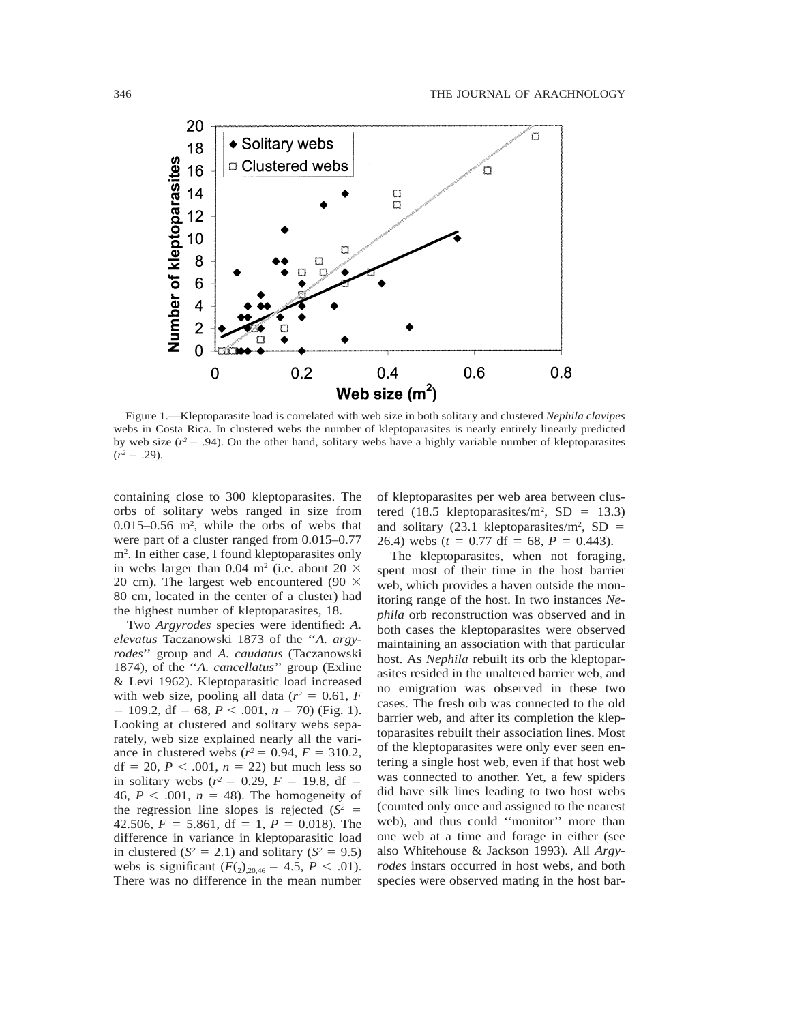

Figure 1.—Kleptoparasite load is correlated with web size in both solitary and clustered *Nephila clavipes* webs in Costa Rica. In clustered webs the number of kleptoparasites is nearly entirely linearly predicted by web size  $(r^2 = .94)$ . On the other hand, solitary webs have a highly variable number of kleptoparasites  $(r^2 = .29)$ .

containing close to 300 kleptoparasites. The orbs of solitary webs ranged in size from 0.015–0.56 m2, while the orbs of webs that were part of a cluster ranged from 0.015–0.77 m2. In either case, I found kleptoparasites only in webs larger than 0.04 m<sup>2</sup> (i.e. about 20  $\times$ 20 cm). The largest web encountered (90  $\times$ 80 cm, located in the center of a cluster) had the highest number of kleptoparasites, 18.

Two *Argyrodes* species were identified: *A. elevatus* Taczanowski 1873 of the ''*A. argyrodes*'' group and *A. caudatus* (Taczanowski 1874), of the ''*A. cancellatus*'' group (Exline & Levi 1962). Kleptoparasitic load increased with web size, pooling all data  $(r^2 = 0.61, F)$  $= 109.2$ , df  $= 68$ ,  $P < .001$ ,  $n = 70$ ) (Fig. 1). Looking at clustered and solitary webs separately, web size explained nearly all the variance in clustered webs ( $r^2 = 0.94$ ,  $F = 310.2$ , df = 20,  $P < .001$ ,  $n = 22$ ) but much less so in solitary webs  $(r^2 = 0.29, F = 19.8, df =$ 46,  $P < .001$ ,  $n = 48$ ). The homogeneity of the regression line slopes is rejected  $(S^2 =$ 42.506,  $F = 5.861$ , df = 1,  $P = 0.018$ ). The difference in variance in kleptoparasitic load in clustered  $(S^2 = 2.1)$  and solitary  $(S^2 = 9.5)$ webs is significant  $(F_{(2)_{20,46}} = 4.5, P < .01)$ . There was no difference in the mean number of kleptoparasites per web area between clustered (18.5 kleptoparasites/m<sup>2</sup>, SD = 13.3) and solitary (23.1 kleptoparasites/m<sup>2</sup>, SD  $=$ 26.4) webs  $(t = 0.77 \text{ df} = 68, P = 0.443)$ .

The kleptoparasites, when not foraging, spent most of their time in the host barrier web, which provides a haven outside the monitoring range of the host. In two instances *Nephila* orb reconstruction was observed and in both cases the kleptoparasites were observed maintaining an association with that particular host. As *Nephila* rebuilt its orb the kleptoparasites resided in the unaltered barrier web, and no emigration was observed in these two cases. The fresh orb was connected to the old barrier web, and after its completion the kleptoparasites rebuilt their association lines. Most of the kleptoparasites were only ever seen entering a single host web, even if that host web was connected to another. Yet, a few spiders did have silk lines leading to two host webs (counted only once and assigned to the nearest web), and thus could ''monitor'' more than one web at a time and forage in either (see also Whitehouse & Jackson 1993). All *Argyrodes* instars occurred in host webs, and both species were observed mating in the host bar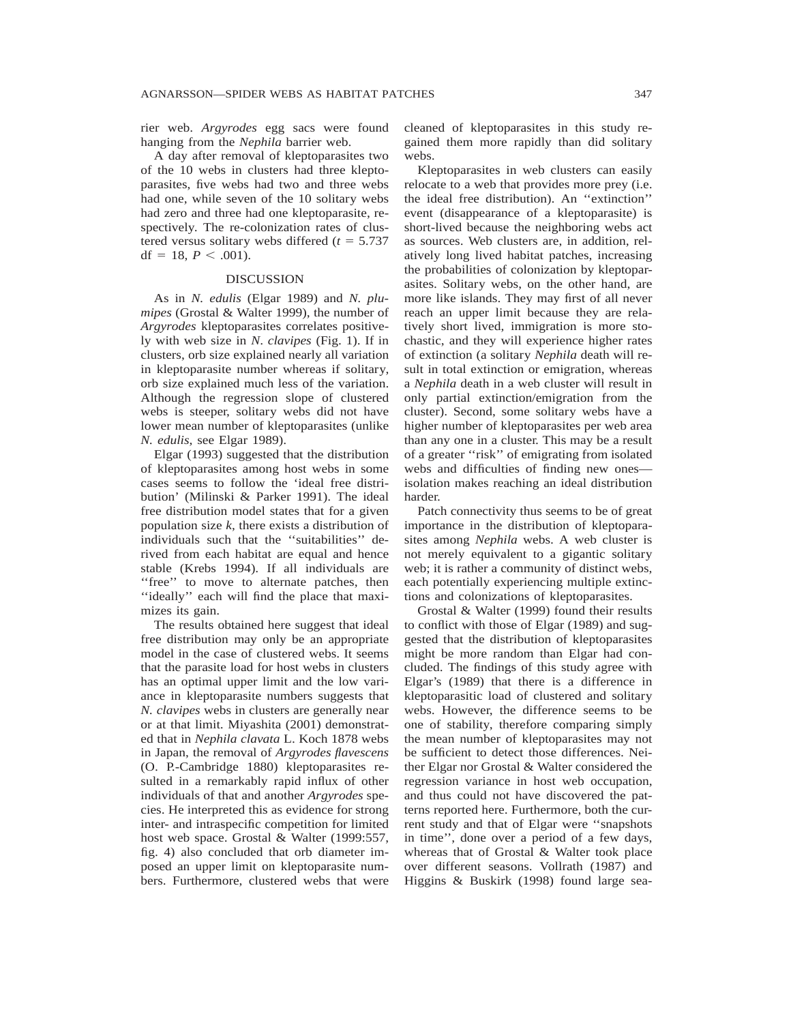rier web. *Argyrodes* egg sacs were found hanging from the *Nephila* barrier web.

A day after removal of kleptoparasites two of the 10 webs in clusters had three kleptoparasites, five webs had two and three webs had one, while seven of the 10 solitary webs had zero and three had one kleptoparasite, respectively. The re-colonization rates of clustered versus solitary webs differed  $(t = 5.737)$ df = 18,  $P < .001$ ).

#### **DISCUSSION**

As in *N. edulis* (Elgar 1989) and *N. plumipes* (Grostal & Walter 1999), the number of *Argyrodes* kleptoparasites correlates positively with web size in *N*. *clavipes* (Fig. 1). If in clusters, orb size explained nearly all variation in kleptoparasite number whereas if solitary, orb size explained much less of the variation. Although the regression slope of clustered webs is steeper, solitary webs did not have lower mean number of kleptoparasites (unlike *N. edulis*, see Elgar 1989).

Elgar (1993) suggested that the distribution of kleptoparasites among host webs in some cases seems to follow the 'ideal free distribution' (Milinski & Parker 1991). The ideal free distribution model states that for a given population size *k*, there exists a distribution of individuals such that the ''suitabilities'' derived from each habitat are equal and hence stable (Krebs 1994). If all individuals are "free" to move to alternate patches, then ''ideally'' each will find the place that maximizes its gain.

The results obtained here suggest that ideal free distribution may only be an appropriate model in the case of clustered webs. It seems that the parasite load for host webs in clusters has an optimal upper limit and the low variance in kleptoparasite numbers suggests that *N. clavipes* webs in clusters are generally near or at that limit. Miyashita (2001) demonstrated that in *Nephila clavata* L. Koch 1878 webs in Japan, the removal of *Argyrodes flavescens* (O. P.-Cambridge 1880) kleptoparasites resulted in a remarkably rapid influx of other individuals of that and another *Argyrodes* species. He interpreted this as evidence for strong inter- and intraspecific competition for limited host web space. Grostal & Walter (1999:557, fig. 4) also concluded that orb diameter imposed an upper limit on kleptoparasite numbers. Furthermore, clustered webs that were cleaned of kleptoparasites in this study regained them more rapidly than did solitary webs.

Kleptoparasites in web clusters can easily relocate to a web that provides more prey (i.e. the ideal free distribution). An ''extinction'' event (disappearance of a kleptoparasite) is short-lived because the neighboring webs act as sources. Web clusters are, in addition, relatively long lived habitat patches, increasing the probabilities of colonization by kleptoparasites. Solitary webs, on the other hand, are more like islands. They may first of all never reach an upper limit because they are relatively short lived, immigration is more stochastic, and they will experience higher rates of extinction (a solitary *Nephila* death will result in total extinction or emigration, whereas a *Nephila* death in a web cluster will result in only partial extinction/emigration from the cluster). Second, some solitary webs have a higher number of kleptoparasites per web area than any one in a cluster. This may be a result of a greater ''risk'' of emigrating from isolated webs and difficulties of finding new ones isolation makes reaching an ideal distribution harder.

Patch connectivity thus seems to be of great importance in the distribution of kleptoparasites among *Nephila* webs. A web cluster is not merely equivalent to a gigantic solitary web; it is rather a community of distinct webs, each potentially experiencing multiple extinctions and colonizations of kleptoparasites.

Grostal & Walter (1999) found their results to conflict with those of Elgar (1989) and suggested that the distribution of kleptoparasites might be more random than Elgar had concluded. The findings of this study agree with Elgar's (1989) that there is a difference in kleptoparasitic load of clustered and solitary webs. However, the difference seems to be one of stability, therefore comparing simply the mean number of kleptoparasites may not be sufficient to detect those differences. Neither Elgar nor Grostal & Walter considered the regression variance in host web occupation, and thus could not have discovered the patterns reported here. Furthermore, both the current study and that of Elgar were ''snapshots in time'', done over a period of a few days, whereas that of Grostal & Walter took place over different seasons. Vollrath (1987) and Higgins & Buskirk (1998) found large sea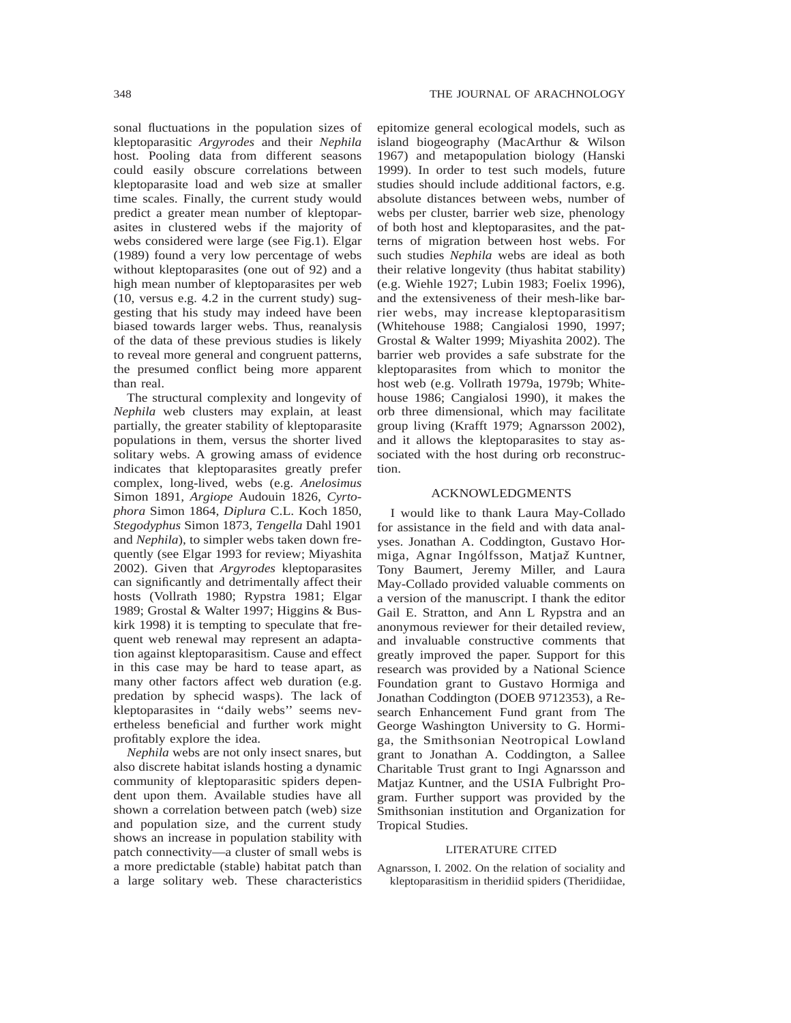sonal fluctuations in the population sizes of kleptoparasitic *Argyrodes* and their *Nephila* host. Pooling data from different seasons could easily obscure correlations between kleptoparasite load and web size at smaller time scales. Finally, the current study would predict a greater mean number of kleptoparasites in clustered webs if the majority of webs considered were large (see Fig.1). Elgar (1989) found a very low percentage of webs without kleptoparasites (one out of 92) and a high mean number of kleptoparasites per web (10, versus e.g. 4.2 in the current study) suggesting that his study may indeed have been biased towards larger webs. Thus, reanalysis of the data of these previous studies is likely to reveal more general and congruent patterns, the presumed conflict being more apparent than real.

The structural complexity and longevity of *Nephila* web clusters may explain, at least partially, the greater stability of kleptoparasite populations in them, versus the shorter lived solitary webs. A growing amass of evidence indicates that kleptoparasites greatly prefer complex, long-lived, webs (e.g. *Anelosimus* Simon 1891, *Argiope* Audouin 1826, *Cyrtophora* Simon 1864, *Diplura* C.L. Koch 1850, *Stegodyphus* Simon 1873*, Tengella* Dahl 1901 and *Nephila*), to simpler webs taken down frequently (see Elgar 1993 for review; Miyashita 2002). Given that *Argyrodes* kleptoparasites can significantly and detrimentally affect their hosts (Vollrath 1980; Rypstra 1981; Elgar 1989; Grostal & Walter 1997; Higgins & Buskirk 1998) it is tempting to speculate that frequent web renewal may represent an adaptation against kleptoparasitism. Cause and effect in this case may be hard to tease apart, as many other factors affect web duration (e.g. predation by sphecid wasps). The lack of kleptoparasites in ''daily webs'' seems nevertheless beneficial and further work might profitably explore the idea.

*Nephila* webs are not only insect snares, but also discrete habitat islands hosting a dynamic community of kleptoparasitic spiders dependent upon them. Available studies have all shown a correlation between patch (web) size and population size, and the current study shows an increase in population stability with patch connectivity—a cluster of small webs is a more predictable (stable) habitat patch than a large solitary web. These characteristics epitomize general ecological models, such as island biogeography (MacArthur & Wilson 1967) and metapopulation biology (Hanski 1999). In order to test such models, future studies should include additional factors, e.g. absolute distances between webs, number of webs per cluster, barrier web size, phenology of both host and kleptoparasites, and the patterns of migration between host webs. For such studies *Nephila* webs are ideal as both their relative longevity (thus habitat stability) (e.g. Wiehle 1927; Lubin 1983; Foelix 1996), and the extensiveness of their mesh-like barrier webs, may increase kleptoparasitism (Whitehouse 1988; Cangialosi 1990, 1997; Grostal & Walter 1999; Miyashita 2002). The barrier web provides a safe substrate for the kleptoparasites from which to monitor the host web (e.g. Vollrath 1979a, 1979b; Whitehouse 1986; Cangialosi 1990), it makes the orb three dimensional, which may facilitate group living (Krafft 1979; Agnarsson 2002), and it allows the kleptoparasites to stay associated with the host during orb reconstruction.

## ACKNOWLEDGMENTS

I would like to thank Laura May-Collado for assistance in the field and with data analyses. Jonathan A. Coddington, Gustavo Hormiga, Agnar Ingólfsson, Matjaž Kuntner, Tony Baumert, Jeremy Miller, and Laura May-Collado provided valuable comments on a version of the manuscript. I thank the editor Gail E. Stratton, and Ann L Rypstra and an anonymous reviewer for their detailed review, and invaluable constructive comments that greatly improved the paper. Support for this research was provided by a National Science Foundation grant to Gustavo Hormiga and Jonathan Coddington (DOEB 9712353), a Research Enhancement Fund grant from The George Washington University to G. Hormiga, the Smithsonian Neotropical Lowland grant to Jonathan A. Coddington, a Sallee Charitable Trust grant to Ingi Agnarsson and Matjaz Kuntner, and the USIA Fulbright Program. Further support was provided by the Smithsonian institution and Organization for Tropical Studies.

#### LITERATURE CITED

Agnarsson, I. 2002. On the relation of sociality and kleptoparasitism in theridiid spiders (Theridiidae,